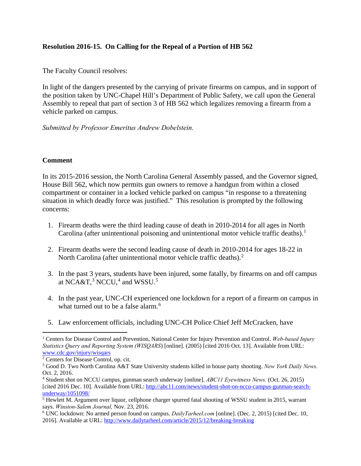## **Resolution 2016-15. On Calling for the Repeal of a Portion of HB 562**

The Faculty Council resolves:

In light of the dangers presented by the carrying of private firearms on campus, and in support of the position taken by UNC-Chapel Hill's Department of Public Safety, we call upon the General Assembly to repeal that part of section 3 of HB 562 which legalizes removing a firearm from a vehicle parked on campus.

*Submitted by Professor Emeritus Andrew Dobelstein.*

## **Comment**

In its 2015-2016 session, the North Carolina General Assembly passed, and the Governor signed, House Bill 562, which now permits gun owners to remove a handgun from within a closed compartment or container in a locked vehicle parked on campus "in response to a threatening situation in which deadly force was justified." This resolution is prompted by the following concerns:

- 1. Firearm deaths were the third leading cause of death in 2010-2014 for all ages in North Carolina (after unintentional poisoning and unintentional motor vehicle traffic deaths).<sup>[1](#page-0-0)</sup>
- 2. Firearm deaths were the second leading cause of death in 2010-2014 for ages 18-22 in North Carolina (after unintentional motor vehicle traffic deaths).<sup>[2](#page-0-1)</sup>
- 3. In the past 3 years, students have been injured, some fatally, by firearms on and off campus at NCA&T, $^3$  $^3$  NCCU, $^4$  $^4$  and WSSU. $^5$  $^5$
- 4. In the past year, UNC-CH experienced one lockdown for a report of a firearm on campus in what turned out to be a false alarm.<sup>[6](#page-0-5)</sup>
- 5. Law enforcement officials, including UNC-CH Police Chief Jeff McCracken, have

<span id="page-0-0"></span> $\overline{a}$ <sup>1</sup> Centers for Disease Control and Prevention, National Center for Injury Prevention and Control. *Web-based Injury Statistics Query and Reporting System (WISQARS*) [online]. (2005) [cited 2016 Oct. 13]. Available from URL: [www.cdc.gov/injury/wisqars](http://www.cdc.gov/injury/wisqars)

<span id="page-0-1"></span><sup>2</sup> Centers for Disease Control, op. cit.

<span id="page-0-2"></span><sup>3</sup> Good D. Two North Carolina A&T State University students killed in house party shooting. *New York Daily News.* Oct. 2, 2016.

<span id="page-0-3"></span><sup>4</sup> Student shot on NCCU campus, gunman search underway [online]. *ABC11 Eyewitness News.* (Oct. 26, 2015) [cited 2016 Dec. 10]. Available from URL: [http://abc11.com/news/student-shot-on-nccu-campus-gunman-search](http://abc11.com/news/student-shot-on-nccu-campus-gunman-search-underway/1051098/)[underway/1051098/](http://abc11.com/news/student-shot-on-nccu-campus-gunman-search-underway/1051098/)

<span id="page-0-4"></span><sup>5</sup> Hewlett M. Argument over liquor, cellphone charger spurred fatal shooting of WSSU student in 2015, warrant says. *Winston-Salem Journal,* Nov. 23, 2016.

<span id="page-0-5"></span><sup>6</sup> UNC lockdown: No armed person found on campus. *DailyTarheel.com* [online]. (Dec. 2, 2015) [cited Dec. 10, 2016]. Available at URL[: http://www.dailytarheel.com/article/2015/12/breaking-breaking](http://www.dailytarheel.com/article/2015/12/breaking-breaking)